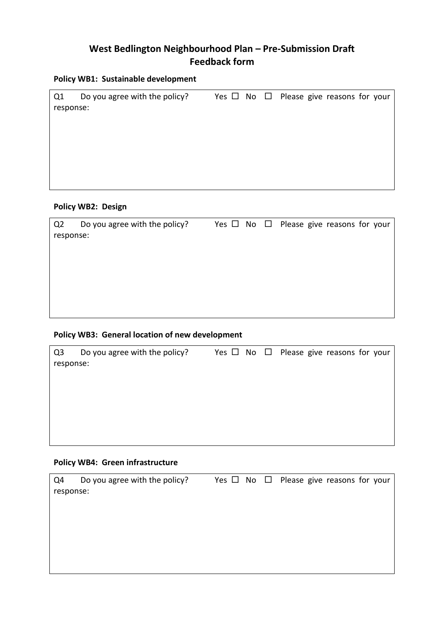# **West Bedlington Neighbourhood Plan – Pre-Submission Draft Feedback form**

#### **Policy WB1: Sustainable development**

| Q1        | Do you agree with the policy? |  | Yes $\Box$ No $\Box$ Please give reasons for your |  |  |
|-----------|-------------------------------|--|---------------------------------------------------|--|--|
| response: |                               |  |                                                   |  |  |
|           |                               |  |                                                   |  |  |
|           |                               |  |                                                   |  |  |
|           |                               |  |                                                   |  |  |
|           |                               |  |                                                   |  |  |
|           |                               |  |                                                   |  |  |
|           |                               |  |                                                   |  |  |

### **Policy WB2: Design**

| Q <sub>2</sub> | Do you agree with the policy? |  | Yes $\Box$ No $\Box$ Please give reasons for your |
|----------------|-------------------------------|--|---------------------------------------------------|
| response:      |                               |  |                                                   |
|                |                               |  |                                                   |
|                |                               |  |                                                   |
|                |                               |  |                                                   |
|                |                               |  |                                                   |
|                |                               |  |                                                   |
|                |                               |  |                                                   |

## **Policy WB3: General location of new development**

| Q <sub>3</sub> | Do you agree with the policy? |  | Yes $\Box$ No $\Box$ Please give reasons for your |
|----------------|-------------------------------|--|---------------------------------------------------|
| response:      |                               |  |                                                   |
|                |                               |  |                                                   |
|                |                               |  |                                                   |
|                |                               |  |                                                   |
|                |                               |  |                                                   |
|                |                               |  |                                                   |
|                |                               |  |                                                   |
|                |                               |  |                                                   |

## **Policy WB4: Green infrastructure**

| Q4        | Do you agree with the policy? |  | Yes $\Box$ No $\Box$ Please give reasons for your |
|-----------|-------------------------------|--|---------------------------------------------------|
| response: |                               |  |                                                   |
|           |                               |  |                                                   |
|           |                               |  |                                                   |
|           |                               |  |                                                   |
|           |                               |  |                                                   |
|           |                               |  |                                                   |
|           |                               |  |                                                   |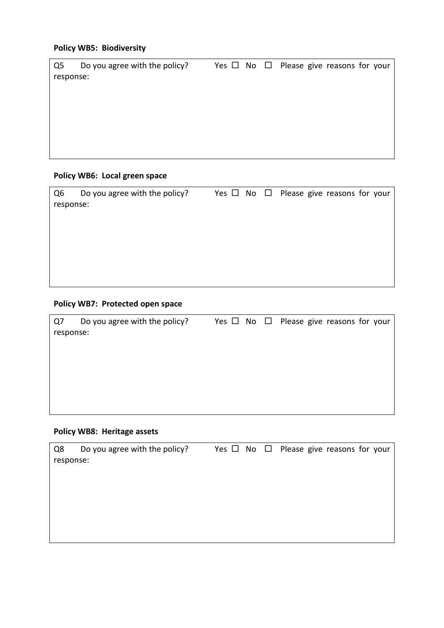## **Policy WB5: Biodiversity**

| Q5        | Do you agree with the policy? |  | Yes $\Box$ No $\Box$ Please give reasons for your |
|-----------|-------------------------------|--|---------------------------------------------------|
| response: |                               |  |                                                   |
|           |                               |  |                                                   |
|           |                               |  |                                                   |
|           |                               |  |                                                   |
|           |                               |  |                                                   |
|           |                               |  |                                                   |
|           |                               |  |                                                   |
|           |                               |  |                                                   |

## **Policy WB6: Local green space**

| Q6        | Do you agree with the policy? |  | Yes $\Box$ No $\Box$ Please give reasons for your |
|-----------|-------------------------------|--|---------------------------------------------------|
| response: |                               |  |                                                   |
|           |                               |  |                                                   |
|           |                               |  |                                                   |
|           |                               |  |                                                   |
|           |                               |  |                                                   |
|           |                               |  |                                                   |
|           |                               |  |                                                   |

### **Policy WB7: Protected open space**

| Q7        | Do you agree with the policy? |  | Yes $\Box$ No $\Box$ Please give reasons for your |
|-----------|-------------------------------|--|---------------------------------------------------|
| response: |                               |  |                                                   |
|           |                               |  |                                                   |
|           |                               |  |                                                   |
|           |                               |  |                                                   |
|           |                               |  |                                                   |
|           |                               |  |                                                   |
|           |                               |  |                                                   |
|           |                               |  |                                                   |

## **Policy WB8: Heritage assets**

| Q8        | Do you agree with the policy? |  | Yes $\Box$ No $\Box$ Please give reasons for your |
|-----------|-------------------------------|--|---------------------------------------------------|
| response: |                               |  |                                                   |
|           |                               |  |                                                   |
|           |                               |  |                                                   |
|           |                               |  |                                                   |
|           |                               |  |                                                   |
|           |                               |  |                                                   |
|           |                               |  |                                                   |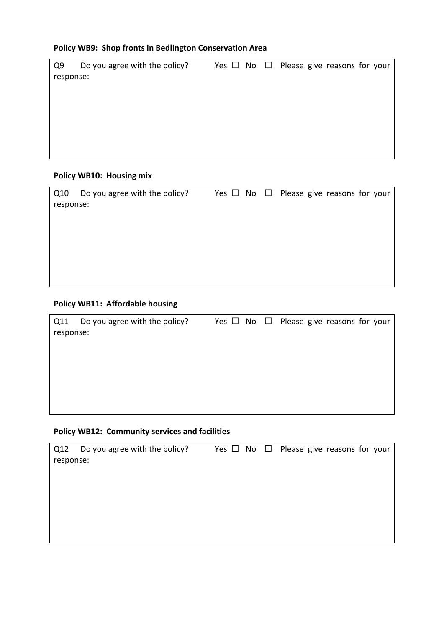## **Policy WB9: Shop fronts in Bedlington Conservation Area**

| Q9        | Do you agree with the policy? |  | Yes $\Box$ No $\Box$ Please give reasons for your |
|-----------|-------------------------------|--|---------------------------------------------------|
| response: |                               |  |                                                   |
|           |                               |  |                                                   |
|           |                               |  |                                                   |
|           |                               |  |                                                   |
|           |                               |  |                                                   |
|           |                               |  |                                                   |
|           |                               |  |                                                   |
|           |                               |  |                                                   |

#### **Policy WB10: Housing mix**

| Q10       | Do you agree with the policy? |  | Yes $\Box$ No $\Box$ Please give reasons for your |
|-----------|-------------------------------|--|---------------------------------------------------|
| response: |                               |  |                                                   |
|           |                               |  |                                                   |
|           |                               |  |                                                   |
|           |                               |  |                                                   |
|           |                               |  |                                                   |
|           |                               |  |                                                   |
|           |                               |  |                                                   |

## **Policy WB11: Affordable housing**

| Q11       | Do you agree with the policy? |  | Yes $\Box$ No $\Box$ Please give reasons for your |
|-----------|-------------------------------|--|---------------------------------------------------|
| response: |                               |  |                                                   |
|           |                               |  |                                                   |
|           |                               |  |                                                   |
|           |                               |  |                                                   |
|           |                               |  |                                                   |
|           |                               |  |                                                   |
|           |                               |  |                                                   |
|           |                               |  |                                                   |

### **Policy WB12: Community services and facilities**

| Q12       | Do you agree with the policy? |  | Yes $\Box$ No $\Box$ Please give reasons for your |
|-----------|-------------------------------|--|---------------------------------------------------|
| response: |                               |  |                                                   |
|           |                               |  |                                                   |
|           |                               |  |                                                   |
|           |                               |  |                                                   |
|           |                               |  |                                                   |
|           |                               |  |                                                   |
|           |                               |  |                                                   |
|           |                               |  |                                                   |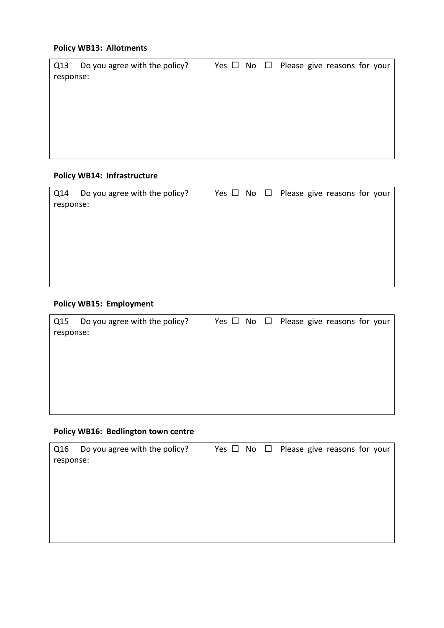### **Policy WB13: Allotments**

| Q13       | Do you agree with the policy? |  | Yes $\Box$ No $\Box$ Please give reasons for your |
|-----------|-------------------------------|--|---------------------------------------------------|
| response: |                               |  |                                                   |
|           |                               |  |                                                   |
|           |                               |  |                                                   |
|           |                               |  |                                                   |
|           |                               |  |                                                   |
|           |                               |  |                                                   |
|           |                               |  |                                                   |
|           |                               |  |                                                   |

### **Policy WB14: Infrastructure**

| Q14       | Do you agree with the policy? |  | Yes $\Box$ No $\Box$ Please give reasons for your |
|-----------|-------------------------------|--|---------------------------------------------------|
| response: |                               |  |                                                   |
|           |                               |  |                                                   |
|           |                               |  |                                                   |
|           |                               |  |                                                   |
|           |                               |  |                                                   |
|           |                               |  |                                                   |
|           |                               |  |                                                   |

## **Policy WB15: Employment**

| Q15       | Do you agree with the policy? |  | Yes $\Box$ No $\Box$ Please give reasons for your |
|-----------|-------------------------------|--|---------------------------------------------------|
| response: |                               |  |                                                   |
|           |                               |  |                                                   |
|           |                               |  |                                                   |
|           |                               |  |                                                   |
|           |                               |  |                                                   |
|           |                               |  |                                                   |
|           |                               |  |                                                   |
|           |                               |  |                                                   |

## **Policy WB16: Bedlington town centre**

| Q16       | Do you agree with the policy? |  | Yes $\Box$ No $\Box$ Please give reasons for your |
|-----------|-------------------------------|--|---------------------------------------------------|
| response: |                               |  |                                                   |
|           |                               |  |                                                   |
|           |                               |  |                                                   |
|           |                               |  |                                                   |
|           |                               |  |                                                   |
|           |                               |  |                                                   |
|           |                               |  |                                                   |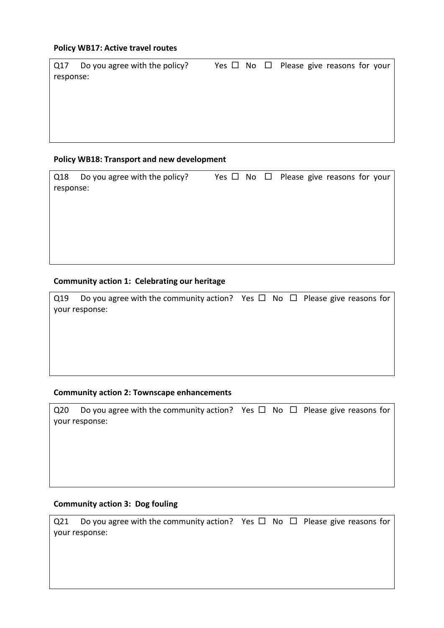#### **Policy WB17: Active travel routes**

| Do you agree with the policy?<br>Q17 | Yes $\Box$ No $\Box$ Please give reasons for your |
|--------------------------------------|---------------------------------------------------|
| response:                            |                                                   |
|                                      |                                                   |
|                                      |                                                   |
|                                      |                                                   |
|                                      |                                                   |
|                                      |                                                   |

#### **Policy WB18: Transport and new development**

| Q18       | Do you agree with the policy? |  | Yes $\Box$ No $\Box$ Please give reasons for your |
|-----------|-------------------------------|--|---------------------------------------------------|
| response: |                               |  |                                                   |
|           |                               |  |                                                   |
|           |                               |  |                                                   |
|           |                               |  |                                                   |
|           |                               |  |                                                   |
|           |                               |  |                                                   |
|           |                               |  |                                                   |

#### **Community action 1: Celebrating our heritage**

| Q19 | Do you agree with the community action? Yes $\Box$ No $\Box$ Please give reasons for |  |  |
|-----|--------------------------------------------------------------------------------------|--|--|
|     | your response:                                                                       |  |  |
|     |                                                                                      |  |  |
|     |                                                                                      |  |  |
|     |                                                                                      |  |  |
|     |                                                                                      |  |  |
|     |                                                                                      |  |  |

#### **Community action 2: Townscape enhancements**

| Q <sub>20</sub> | Do you agree with the community action? Yes $\Box$ No $\Box$ Please give reasons for |  |  |
|-----------------|--------------------------------------------------------------------------------------|--|--|
|                 | your response:                                                                       |  |  |
|                 |                                                                                      |  |  |
|                 |                                                                                      |  |  |
|                 |                                                                                      |  |  |
|                 |                                                                                      |  |  |
|                 |                                                                                      |  |  |

# **Community action 3: Dog fouling**

Q21 Do you agree with the community action? Yes  $\Box$  No  $\Box$  Please give reasons for your response: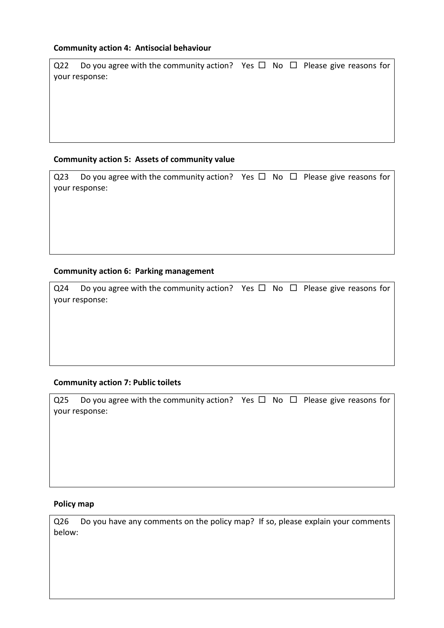### **Community action 4: Antisocial behaviour**

| Q22 | Do you agree with the community action? Yes $\Box$ No $\Box$ Please give reasons for |  |  |
|-----|--------------------------------------------------------------------------------------|--|--|
|     | your response:                                                                       |  |  |
|     |                                                                                      |  |  |
|     |                                                                                      |  |  |
|     |                                                                                      |  |  |
|     |                                                                                      |  |  |
|     |                                                                                      |  |  |

### **Community action 5: Assets of community value**

| Q23 Do you agree with the community action? Yes $\Box$ No $\Box$ Please give reasons for |  |  |
|------------------------------------------------------------------------------------------|--|--|
| vour response:                                                                           |  |  |
|                                                                                          |  |  |
|                                                                                          |  |  |

#### **Community action 6: Parking management**

| Q24 Do you agree with the community action? Yes $\Box$ No $\Box$ Please give reasons for |  |  |
|------------------------------------------------------------------------------------------|--|--|
| your response:                                                                           |  |  |

## **Community action 7: Public toilets**

| Q25 Do you agree with the community action? Yes $\Box$ No $\Box$ Please give reasons for |  |  |
|------------------------------------------------------------------------------------------|--|--|
| your response:                                                                           |  |  |

### **Policy map**

Q26 Do you have any comments on the policy map? If so, please explain your comments below: